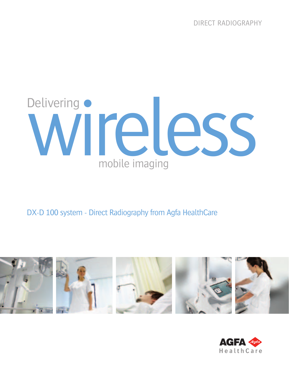

DX-D 100 system - Direct Radiography from Agfa HealthCare



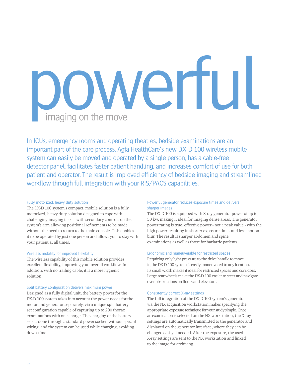

In ICUs, emergency rooms and operating theatres, bedside examinations are an important part of the care process. Agfa HealthCare's new DX-D 100 wireless mobile system can easily be moved and operated by a single person, has a cable-free detector panel, facilitates faster patient handling, and increases comfort of use for both patient and operator. The result is improved efficiency of bedside imaging and streamlined workflow through full integration with your RIS/PACS capabilities.

# Fully motorized, heavy duty solution

The DX-D 100 system's compact, mobile solution is a fully motorized, heavy duty solution designed to cope with challenging imaging tasks - with secondary controls on the system's arm allowing positional refinements to be made without the need to return to the main console. This enables it to be operated by just one person and allows you to stay with your patient at all times.

# Wireless mobility for improved flexibility

The wireless capability of this mobile solution provides excellent flexibility, improving your overall workflow. In addition, with no trailing cable, it is a more hygienic solution.

# Split battery configuration delivers maximum power

Designed as a fully digital unit, the battery power for the DX-D 100 system takes into account the power needs for the motor and generator separately, via a unique split battery set configuration capable of capturing up to 200 thorax examinations with one charge. The charging of the battery sets is done through a standard power socket, without special wiring, and the system can be used while charging, avoiding down-time.

# Powerful generator reduces exposure times and delivers sharper images

The DX-D 100 is equipped with X-ray generator power of up to 50 kw, making it ideal for imaging dense areas. The generator power rating is true, effective power - not a peak value - with the high power resulting in shorter exposure times and less motion blur. The result is sharper abdomen and spine examinations as well as those for bariatric patients.

# Ergonomic and maneuverable for restricted spaces

Requiring only light pressure to the drive handle to move it, the DX-D 100 system is easily maneuvered to any location. Its small width makes it ideal for restricted spaces and corridors. Large rear wheels make the DX-D 100 easier to steer and navigate over obstructions on floors and elevators.

# Consistently correct X-ray settings

The full integration of the DX-D 100 system's generator via the NX acquisition workstation makes specifying the appropriate exposure technique for your study simple. Once an examination is selected on the NX workstation, the X-ray settings are automatically transmitted to the generator and displayed on the generator interface, where they can be changed easily if needed. After the exposure, the used X-ray settings are sent to the NX workstation and linked to the image for archiving.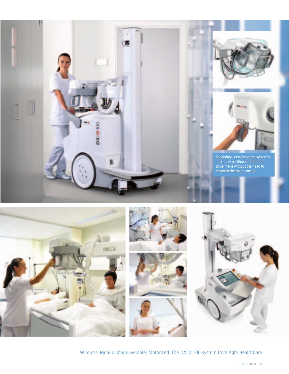



Wireless: Mobile: Maneuverable: Motorized. The DX-D 100 system from Agfa HealthCare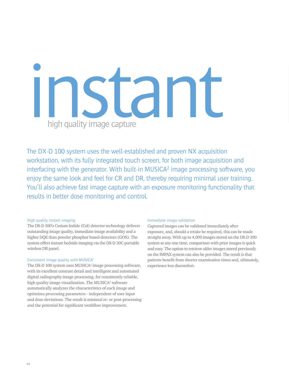# **instant of the Contract of the Contract of the Contract of the Contract of the Contract of the Contract of the Contract of the Contract of the Contract of the Contract of the Contract of the Contract of the Contract of th** high quality image capture

The DX-D 100 system uses the well-established and proven NX acquisition workstation, with its fully integrated touch screen, for both image acquisition and interfacing with the generator. With built-in MUSICA<sup>2</sup> image processing software, you enjoy the same look and feel for CR and DR, thereby requiring minimal user training. You'll also achieve fast image capture with an exposure monitoring functionality that results in better dose monitoring and control.

### High quality instant imaging

The DX-D 100's Cesium Iodide (CsI) detector technology delivers outstanding image quality, immediate image availability and a higher DQE than powder phosphor based detectors (GOS). The system offers instant bedside imaging via the DX-D 30C portable wireless DR panel.

# Consistent image quality with MUSICA2

The DX-D 100 system uses MUSICA<sup>2</sup> image processing software, with its excellent contrast detail and intelligent and automated digital radiography image processing, for consistently reliable, high quality image visualization. The MUSICA<sup>2</sup> software automatically analyzes the characteristics of each image and optimizes processing parameters - independent of user input and dose deviations. The result is minimal re- or post-processing and the potential for significant workflow improvement.

#### Immediate image validation

Captured images can be validated immediately after exposure, and, should a retake be required, this can be made straight away. With up to 4,000 images stored on the DX-D 100 system at any one time, comparison with prior images is quick and easy. The option to retrieve older images stored previously on the IMPAX system can also be provided. The result is that patients benefit from shorter examination times and, ultimately, experience less discomfort.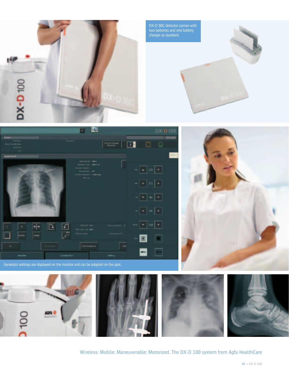

DX-D 30C detector comes with two batteries and one battery charger as standard.



|                                                             | a D                                                                                                                                 |                                  | DX-D100                                             |
|-------------------------------------------------------------|-------------------------------------------------------------------------------------------------------------------------------------|----------------------------------|-----------------------------------------------------|
| <b>R.I.Ives</b><br><b>Fasch Lie Hitchco</b><br><b>WAZAN</b> |                                                                                                                                     | $\sqrt{1 + 2}$                   | 四 Q                                                 |
| <b>Searchild</b>                                            |                                                                                                                                     |                                  |                                                     |
|                                                             | box incar ( that<br>Emmet Tels - Elect All<br><b>Laurent Basic</b><br>Van Britton I<br>$\overline{a}$<br>care concerns it will rape |                                  | $\sim$ $\,$ + $\,$ 125 $\,$ $\,$ + $\,$             |
|                                                             | Writing.                                                                                                                            |                                  | $- 35 + 3$                                          |
|                                                             |                                                                                                                                     |                                  | $\bullet \quad \bullet \quad M \quad \bullet \quad$ |
|                                                             |                                                                                                                                     |                                  |                                                     |
| ٠                                                           | <b>VIRGIN XTE</b><br>144 Silvania 1961<br>Token last                                                                                | <b>Secondark L.</b><br>Departmit | $ \bullet$ 350 $\bullet$                            |
| stanti<br>m                                                 | □                                                                                                                                   |                                  |                                                     |
| $\omega$                                                    | <b>Corrisponer</b>                                                                                                                  | AR.                              |                                                     |
| <b><i><u>Importance</u></i></b>                             | Listenburtten                                                                                                                       | <b>Address</b>                   |                                                     |



Generator settings are displayed on the monitor and can be adapted on the spot..



Wireless: Mobile: Maneuverable: Motorized. The DX-D 100 system from Agfa HealthCare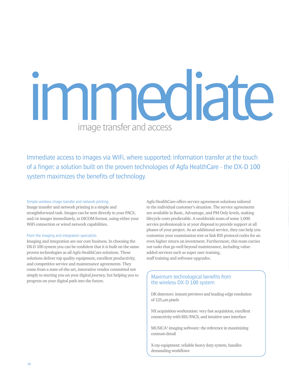# mediate image transfer and access

Immediate access to images via WiFi, where supported; information transfer at the touch of a finger; a solution built on the proven technologies of Agfa HealthCare - the DX-D 100 system maximizes the benefits of technology.

#### Simple wireless image transfer and network printing

Image transfer and network printing is a simple and straightforward task. Images can be sent directly to your PACS, and/or imager immediately, in DICOM format, using either your WiFi connection or wired network capabilities.

#### From the imaging and integration specialists

Imaging and integration are our core business. In choosing the DX-D 100 system you can be confident that it is built on the same proven technologies as all Agfa HealthCare solutions. These solutions deliver top quality equipment, excellent productivity, and competitive service and maintenance agreements. They come from a state-of-the-art, innovative vendor committed not simply to starting you on your digital journey, but helping you to progress on your digital path into the future.

Agfa HealthCare offers service agreement solutions tailored to the individual customer's situation. The service agreements are available in Basic, Advantage, and PM Only levels, making lifecycle costs predictable. A worldwide team of some 1,000 service professionals is at your disposal to provide support at all phases of your project. As an additional service, they can help you customize your examination tree or link RIS protocol codes for an even higher return on investment. Furthermore, this team carries out tasks that go well beyond maintenance, including valueadded services such as super user training, staff training and software upgrades.

# Maximum technological benefits from the wireless DX-D 100 system

DR detectors: instant previews and leading-edge resolution of  $125 \mu m$  pixels

NX acquisition workstation: very fast acquisition, excellent connectivity with RIS/PACS, and intuitive user interface

MUSICA2 imaging software: the reference in maximizing contrast-detail

X-ray equipment: reliable heavy duty system, handles demanding workflows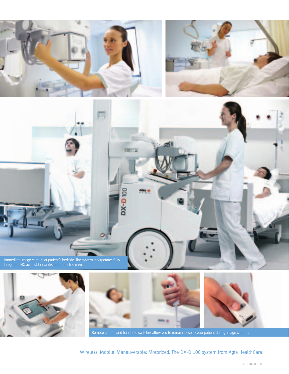









Remote control and handheld switches allow you to remain close to your patient during image capture.

Wireless: Mobile: Maneuverable: Motorized. The DX-D 100 system from Agfa HealthCare